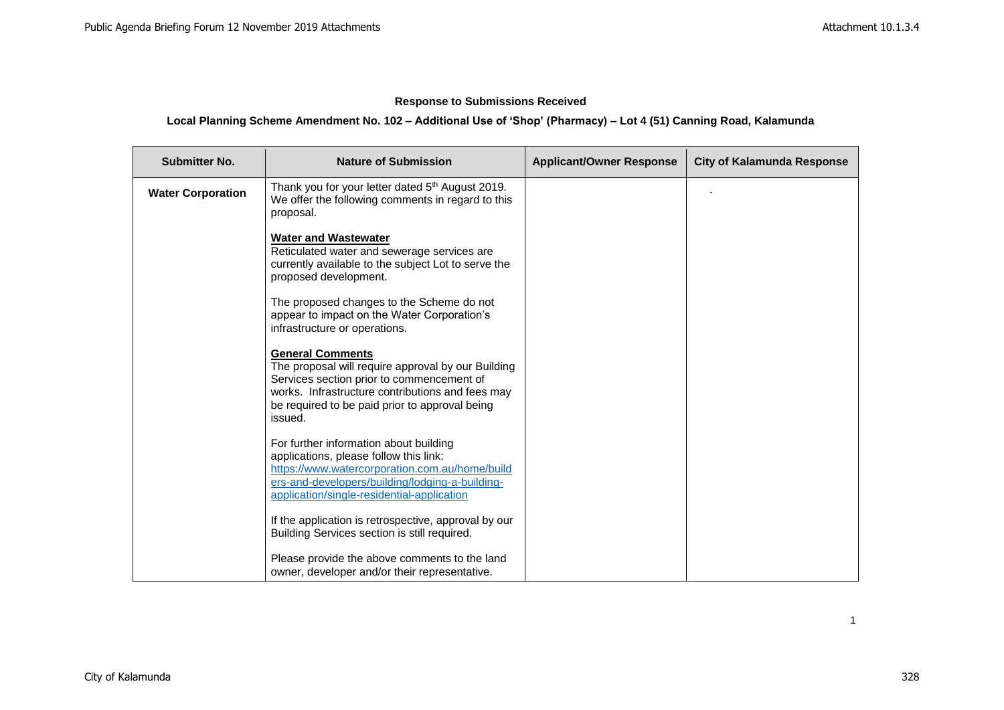# **Response to Submissions Received**

# **Local Planning Scheme Amendment No. 102 – Additional Use of 'Shop' (Pharmacy) – Lot 4 (51) Canning Road, Kalamunda**

| <b>Submitter No.</b>     | <b>Nature of Submission</b>                                                                                                                                                                                                                 | <b>Applicant/Owner Response</b> | <b>City of Kalamunda Response</b> |
|--------------------------|---------------------------------------------------------------------------------------------------------------------------------------------------------------------------------------------------------------------------------------------|---------------------------------|-----------------------------------|
| <b>Water Corporation</b> | Thank you for your letter dated 5th August 2019.<br>We offer the following comments in regard to this<br>proposal.                                                                                                                          |                                 |                                   |
|                          | <b>Water and Wastewater</b><br>Reticulated water and sewerage services are<br>currently available to the subject Lot to serve the<br>proposed development.                                                                                  |                                 |                                   |
|                          | The proposed changes to the Scheme do not<br>appear to impact on the Water Corporation's<br>infrastructure or operations.                                                                                                                   |                                 |                                   |
|                          | <b>General Comments</b><br>The proposal will require approval by our Building<br>Services section prior to commencement of<br>works. Infrastructure contributions and fees may<br>be required to be paid prior to approval being<br>issued. |                                 |                                   |
|                          | For further information about building<br>applications, please follow this link:<br>https://www.watercorporation.com.au/home/build<br>ers-and-developers/building/lodging-a-building-<br>application/single-residential-application         |                                 |                                   |
|                          | If the application is retrospective, approval by our<br>Building Services section is still required.                                                                                                                                        |                                 |                                   |
|                          | Please provide the above comments to the land<br>owner, developer and/or their representative.                                                                                                                                              |                                 |                                   |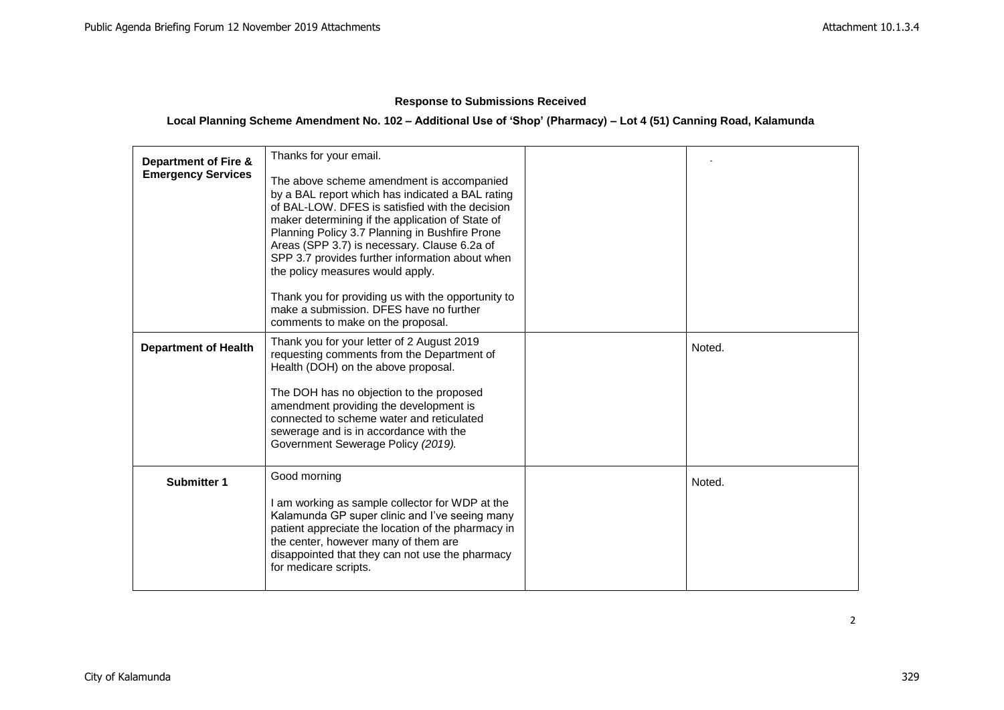# **Response to Submissions Received**

# **Local Planning Scheme Amendment No. 102 – Additional Use of 'Shop' (Pharmacy) – Lot 4 (51) Canning Road, Kalamunda**

| <b>Department of Fire &amp;</b><br><b>Emergency Services</b> | Thanks for your email.<br>The above scheme amendment is accompanied<br>by a BAL report which has indicated a BAL rating<br>of BAL-LOW. DFES is satisfied with the decision<br>maker determining if the application of State of<br>Planning Policy 3.7 Planning in Bushfire Prone<br>Areas (SPP 3.7) is necessary. Clause 6.2a of<br>SPP 3.7 provides further information about when<br>the policy measures would apply.<br>Thank you for providing us with the opportunity to<br>make a submission. DFES have no further<br>comments to make on the proposal. |        |
|--------------------------------------------------------------|---------------------------------------------------------------------------------------------------------------------------------------------------------------------------------------------------------------------------------------------------------------------------------------------------------------------------------------------------------------------------------------------------------------------------------------------------------------------------------------------------------------------------------------------------------------|--------|
| <b>Department of Health</b>                                  | Thank you for your letter of 2 August 2019<br>requesting comments from the Department of<br>Health (DOH) on the above proposal.<br>The DOH has no objection to the proposed<br>amendment providing the development is<br>connected to scheme water and reticulated<br>sewerage and is in accordance with the<br>Government Sewerage Policy (2019).                                                                                                                                                                                                            | Noted. |
| <b>Submitter 1</b>                                           | Good morning<br>I am working as sample collector for WDP at the<br>Kalamunda GP super clinic and I've seeing many<br>patient appreciate the location of the pharmacy in<br>the center, however many of them are<br>disappointed that they can not use the pharmacy<br>for medicare scripts.                                                                                                                                                                                                                                                                   | Noted. |

2